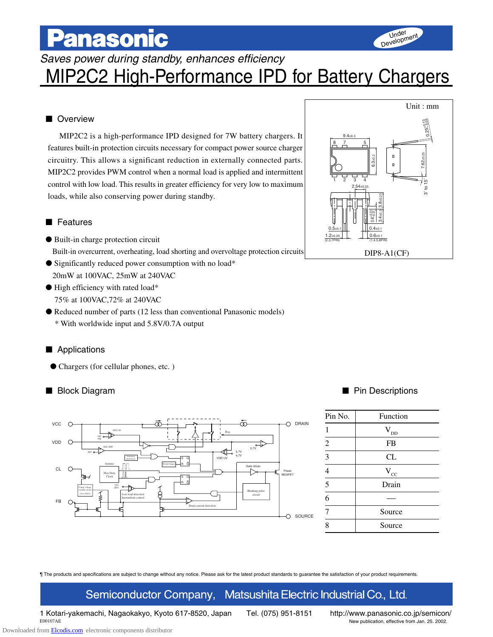# **Panasonic**

Saves power during standby, enhances efficiency

## MIP2C2 High-Performance IPD for Battery Chargers

### ■ Overview

MIP2C2 is a high-performance IPD designed for 7W battery chargers. It features built-in protection circuits necessary for compact power source charger circuitry. This allows a significant reduction in externally connected parts. MIP2C2 provides PWM control when a normal load is applied and intermittent control with low load. This results in greater efficiency for very low to maximum loads, while also conserving power during standby.

### ■ Features

- Built-in charge protection circuit Built-in overcurrent, overheating, load shorting and overvoltage protection circuits
- Significantly reduced power consumption with no load\* 20mW at 100VAC, 25mW at 240VAC
- High efficiency with rated load\* 75% at 100VAC,72% at 240VAC
- Reduced number of parts (12 less than conventional Panasonic models)
	- \* With worldwide input and 5.8V/0.7A output

### ■ Applications

● Chargers (for cellular phones, etc. )





Under Development

### ■ Block Diagram ■ Pin Descriptions

| Pin No.                        | Function         |
|--------------------------------|------------------|
|                                | $\rm V_{\rm DD}$ |
| $\overline{2}$                 | <b>FB</b>        |
| $\overline{\mathbf{3}}$        | CL               |
| $\overline{4}$                 | $\rm V_{\rm CC}$ |
| $\frac{1}{5}$<br>$\frac{1}{6}$ | Drain            |
|                                |                  |
| 7                              | Source           |
| 8                              | Source           |

¶ The products and specifications are subject to change without any notice. Please ask for the latest product standards to guarantee the satisfaction of your product requirements.

### Semiconductor Company, Matsushita Electric Industrial Co., Ltd.

1 Kotari-yakemachi, Nagaokakyo, Kyoto 617-8520, Japan Tel. (075) 951-8151 http://www.panasonic.co.jp/semicon/

E00107AE New publication, effective from Jan. 25. 2002.

Downloaded from **Elcodis.com** electronic components distributor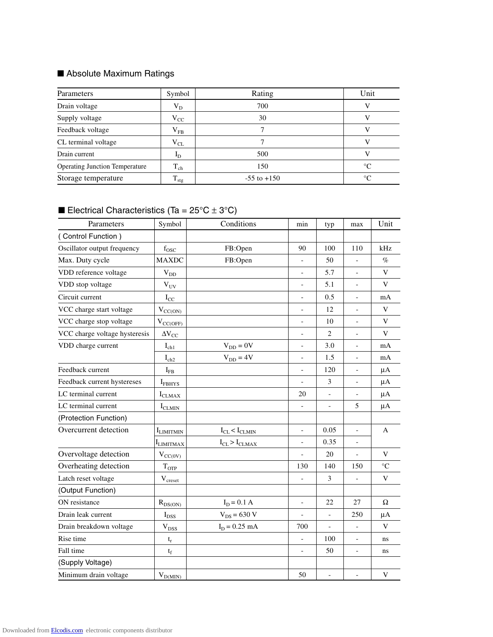### ■ Absolute Maximum Ratings

| Parameters                            | Symbol         | Rating          | Unit        |
|---------------------------------------|----------------|-----------------|-------------|
| Drain voltage                         | $V_D$          | 700             | V           |
| Supply voltage                        | $V_{CC}$       | 30              |             |
| Feedback voltage                      | $V_{FB}$       | 7               | V           |
| CL terminal voltage                   | ${\rm V_{CL}}$ |                 |             |
| Drain current                         | $I_{D}$        | 500             | v           |
| <b>Operating Junction Temperature</b> | $T_{ch}$       | 150             | $^{\circ}C$ |
| Storage temperature                   | $T_{\rm stg}$  | $-55$ to $+150$ | $^{\circ}C$ |

### **Electrical Characteristics (Ta =**  $25^{\circ}C \pm 3^{\circ}C$ **)**

| Parameters                    | Symbol                      | Conditions             | min                      | typ                      | max                      | Unit            |
|-------------------------------|-----------------------------|------------------------|--------------------------|--------------------------|--------------------------|-----------------|
| Control Function)             |                             |                        |                          |                          |                          |                 |
| Oscillator output frequency   | $f_{\rm{OSC}}$              | FB:Open                | 90                       | 100                      | 110                      | kHz             |
| Max. Duty cycle               | <b>MAXDC</b>                | FB:Open                |                          | 50                       |                          | $\%$            |
| VDD reference voltage         | $V_{DD}$                    |                        | $\blacksquare$           | 5.7                      | $\frac{1}{2}$            | $\mathbf{V}$    |
| VDD stop voltage              | $V_{UV}$                    |                        | $\overline{a}$           | 5.1                      | $\blacksquare$           | V               |
| Circuit current               | $I_{CC}$                    |                        | $\overline{\phantom{0}}$ | 0.5                      | $\frac{1}{2}$            | mA              |
| VCC charge start voltage      | $V_{CC(ON)}$                |                        | $\overline{a}$           | 12                       | $\overline{\phantom{a}}$ | V               |
| VCC charge stop voltage       | $V_{CC(OFF)}$               |                        | $\overline{a}$           | 10                       | $\blacksquare$           | $\mathbf{V}$    |
| VCC charge voltage hysteresis | $\Delta V_{CC}$             |                        | $\overline{a}$           | $\overline{2}$           | $\overline{\phantom{a}}$ | $\mathbf{V}$    |
| VDD charge current            | $I_{ch1}$                   | $V_{DD} = 0V$          | $\blacksquare$           | 3.0                      | $\overline{\phantom{a}}$ | mA              |
|                               | $\mathbf{I}_{\text{ch2}}$   | $V_{DD} = 4V$          | $\overline{a}$           | 1.5                      | $\overline{\phantom{a}}$ | mA              |
| Feedback current              | $I_{FB}$                    |                        | $\overline{a}$           | 120                      | $\overline{\phantom{a}}$ | $\mu A$         |
| Feedback current hystereses   | $I_{FBHYS}$                 |                        |                          | 3                        | $\overline{\phantom{a}}$ | $\mu A$         |
| LC terminal current           | $I_{CLMAX}$                 |                        | 20                       | $\overline{\phantom{0}}$ | $\overline{\phantom{a}}$ | $\mu A$         |
| LC terminal current           | $I_{CLMIN}$                 |                        |                          | $\overline{\phantom{0}}$ | 5                        | $\mu A$         |
| (Protection Function)         |                             |                        |                          |                          |                          |                 |
| Overcurrent detection         | <b>I</b> LIMITMIN           | $I_{CL} < I_{CLMIN}$   | $\overline{a}$           | 0.05                     | $\overline{\phantom{a}}$ | A               |
|                               | <b>I</b> LIMITMAX           | $I_{CL}$ > $I_{CLMAX}$ | $\overline{\phantom{0}}$ | 0.35                     | $\overline{\phantom{a}}$ |                 |
| Overvoltage detection         | $V_{CC(0V)}$                |                        |                          | 20                       |                          | V               |
| Overheating detection         | $T_{\text{OTP}}$            |                        | 130                      | 140                      | 150                      | $\rm ^{\circ}C$ |
| Latch reset voltage           | $\rm V_{\rm creset}$        |                        |                          | 3                        |                          | V               |
| (Output Function)             |                             |                        |                          |                          |                          |                 |
| ON resistance                 | $R_{DS(ON)}$                | $I_D = 0.1 A$          | $\overline{a}$           | 22                       | 27                       | Ω               |
| Drain leak current            | $\mathbf{I}_{\mathrm{DSS}}$ | $V_{DS} = 630 V$       |                          | $\bar{\phantom{a}}$      | 250                      | $\mu A$         |
| Drain breakdown voltage       | $\rm V_{DSS}$               | $I_D = 0.25$ mA        | 700                      | $\overline{a}$           | $\equiv$                 | V               |
| Rise time                     | $\mathbf{t}_\mathrm{r}$     |                        | $\qquad \qquad -$        | 100                      | $\blacksquare$           | ns              |
| Fall time                     | $t_f$                       |                        |                          | 50                       | $\blacksquare$           | ns              |
| (Supply Voltage)              |                             |                        |                          |                          |                          |                 |
| Minimum drain voltage         | $V_{D(MIN)}$                |                        | 50                       | $\overline{a}$           |                          | V               |